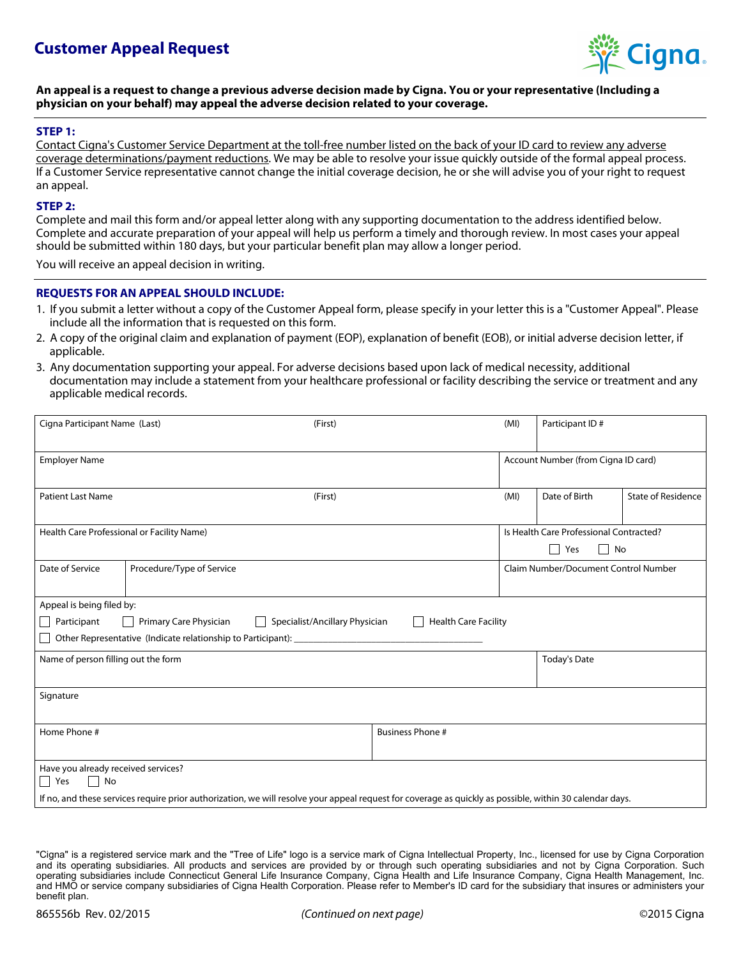

### **An appeal is a request to change a previous adverse decision made by Cigna. You or your representative (Including a physician on your behalf) may appeal the adverse decision related to your coverage.**

### **STEP 1:**

Contact Cigna's Customer Service Department at the toll-free number listed on the back of your ID card to review any adverse coverage determinations/payment reductions. We may be able to resolve your issue quickly outside of the formal appeal process. If a Customer Service representative cannot change the initial coverage decision, he or she will advise you of your right to request an appeal.

#### **STEP 2:**

Complete and mail this form and/or appeal letter along with any supporting documentation to the address identified below. Complete and accurate preparation of your appeal will help us perform a timely and thorough review. In most cases your appeal should be submitted within 180 days, but your particular benefit plan may allow a longer period.

You will receive an appeal decision in writing.

### **REQUESTS FOR AN APPEAL SHOULD INCLUDE:**

- 1. If you submit a letter without a copy of the Customer Appeal form, please specify in your letter this is a "Customer Appeal". Please include all the information that is requested on this form.
- 2. A copy of the original claim and explanation of payment (EOP), explanation of benefit (EOB), or initial adverse decision letter, if applicable.
- 3. Any documentation supporting your appeal. For adverse decisions based upon lack of medical necessity, additional documentation may include a statement from your healthcare professional or facility describing the service or treatment and any applicable medical records.

| Account Number (from Cigna ID card)<br><b>Employer Name</b><br>Date of Birth<br><b>State of Residence</b><br><b>Patient Last Name</b><br>(MI)<br>(First)<br>Is Health Care Professional Contracted?<br>Health Care Professional or Facility Name)<br>$\blacksquare$<br>No<br>Yes<br>Date of Service<br>Procedure/Type of Service<br>Claim Number/Document Control Number<br>Appeal is being filed by:<br>Participant<br>Primary Care Physician<br><b>Health Care Facility</b><br>Specialist/Ancillary Physician<br>Other Representative (Indicate relationship to Participant):<br>Name of person filling out the form<br><b>Today's Date</b><br>Signature<br>Home Phone #<br><b>Business Phone #</b><br>Have you already received services?<br>    Yes<br>l I No<br>If no, and these services require prior authorization, we will resolve your appeal request for coverage as quickly as possible, within 30 calendar days. | Cigna Participant Name (Last) |  | (First) |  |  | Participant ID# |  |  |
|-------------------------------------------------------------------------------------------------------------------------------------------------------------------------------------------------------------------------------------------------------------------------------------------------------------------------------------------------------------------------------------------------------------------------------------------------------------------------------------------------------------------------------------------------------------------------------------------------------------------------------------------------------------------------------------------------------------------------------------------------------------------------------------------------------------------------------------------------------------------------------------------------------------------------------|-------------------------------|--|---------|--|--|-----------------|--|--|
|                                                                                                                                                                                                                                                                                                                                                                                                                                                                                                                                                                                                                                                                                                                                                                                                                                                                                                                               |                               |  |         |  |  |                 |  |  |
|                                                                                                                                                                                                                                                                                                                                                                                                                                                                                                                                                                                                                                                                                                                                                                                                                                                                                                                               |                               |  |         |  |  |                 |  |  |
|                                                                                                                                                                                                                                                                                                                                                                                                                                                                                                                                                                                                                                                                                                                                                                                                                                                                                                                               |                               |  |         |  |  |                 |  |  |
|                                                                                                                                                                                                                                                                                                                                                                                                                                                                                                                                                                                                                                                                                                                                                                                                                                                                                                                               |                               |  |         |  |  |                 |  |  |
|                                                                                                                                                                                                                                                                                                                                                                                                                                                                                                                                                                                                                                                                                                                                                                                                                                                                                                                               |                               |  |         |  |  |                 |  |  |
|                                                                                                                                                                                                                                                                                                                                                                                                                                                                                                                                                                                                                                                                                                                                                                                                                                                                                                                               |                               |  |         |  |  |                 |  |  |
|                                                                                                                                                                                                                                                                                                                                                                                                                                                                                                                                                                                                                                                                                                                                                                                                                                                                                                                               |                               |  |         |  |  |                 |  |  |
|                                                                                                                                                                                                                                                                                                                                                                                                                                                                                                                                                                                                                                                                                                                                                                                                                                                                                                                               |                               |  |         |  |  |                 |  |  |
|                                                                                                                                                                                                                                                                                                                                                                                                                                                                                                                                                                                                                                                                                                                                                                                                                                                                                                                               |                               |  |         |  |  |                 |  |  |
|                                                                                                                                                                                                                                                                                                                                                                                                                                                                                                                                                                                                                                                                                                                                                                                                                                                                                                                               |                               |  |         |  |  |                 |  |  |
|                                                                                                                                                                                                                                                                                                                                                                                                                                                                                                                                                                                                                                                                                                                                                                                                                                                                                                                               |                               |  |         |  |  |                 |  |  |
|                                                                                                                                                                                                                                                                                                                                                                                                                                                                                                                                                                                                                                                                                                                                                                                                                                                                                                                               |                               |  |         |  |  |                 |  |  |
|                                                                                                                                                                                                                                                                                                                                                                                                                                                                                                                                                                                                                                                                                                                                                                                                                                                                                                                               |                               |  |         |  |  |                 |  |  |

<sup>&</sup>quot;Cigna" is a registered service mark and the "Tree of Life" logo is a service mark of Cigna Intellectual Property, Inc., licensed for use by Cigna Corporation and its operating subsidiaries. All products and services are provided by or through such operating subsidiaries and not by Cigna Corporation. Such operating subsidiaries include Connecticut General Life Insurance Company, Cigna Health and Life Insurance Company, Cigna Health Management, Inc. and HMO or service company subsidiaries of Cigna Health Corporation. Please refer to Member's ID card for the subsidiary that insures or administers your benefit plan.